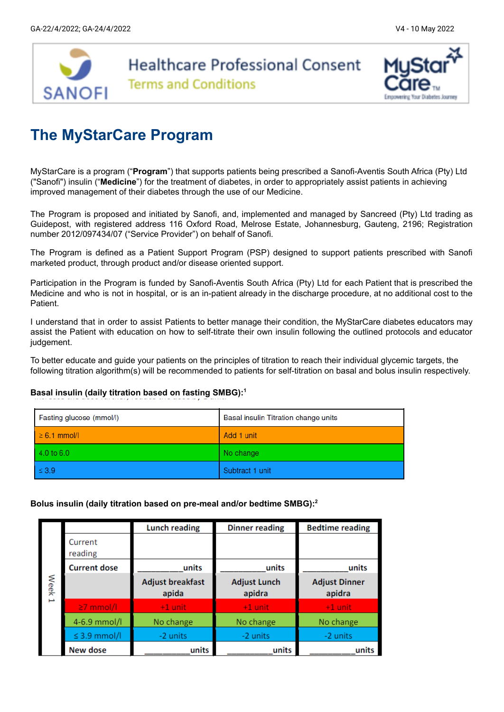

# **The MyStarCare Program**

MyStarCare is a program ("**Program**") that supports patients being prescribed a Sanofi-Aventis South Africa (Pty) Ltd ("Sanofi") insulin ("**Medicine**") for the treatment of diabetes, in order to appropriately assist patients in achieving improved management of their diabetes through the use of our Medicine.

The Program is proposed and initiated by Sanofi, and, implemented and managed by Sancreed (Pty) Ltd trading as Guidepost, with registered address 116 Oxford Road, Melrose Estate, Johannesburg, Gauteng, 2196; Registration number 2012/097434/07 ("Service Provider") on behalf of Sanofi.

The Program is defined as a Patient Support Program (PSP) designed to support patients prescribed with Sanofi marketed product, through product and/or disease oriented support.

Participation in the Program is funded by Sanofi-Aventis South Africa (Pty) Ltd for each Patient that is prescribed the Medicine and who is not in hospital, or is an in-patient already in the discharge procedure, at no additional cost to the Patient.

I understand that in order to assist Patients to better manage their condition, the MyStarCare diabetes educators may assist the Patient with education on how to self-titrate their own insulin following the outlined protocols and educator judgement.

To better educate and guide your patients on the principles of titration to reach their individual glycemic targets, the following titration algorithm(s) will be recommended to patients for self-titration on basal and bolus insulin respectively.

#### **Basal insulin (daily titration based on fasting SMBG): 1**

| Fasting glucose (mmol/l) | Basal insulin Titration change units |
|--------------------------|--------------------------------------|
| $\geq 6.1$ mmol/l        | Add 1 unit                           |
| $4.0 t$ o 6.0            | No change                            |
| $\leq 3.9$               | Subtract 1 unit                      |

### **Bolus insulin (daily titration based on pre-meal and/or bedtime SMBG): 2**

|        |                     | <b>Lunch reading</b>             | <b>Dinner reading</b>         | <b>Bedtime reading</b>         |
|--------|---------------------|----------------------------------|-------------------------------|--------------------------------|
|        | Current<br>reading  |                                  |                               |                                |
|        | <b>Current dose</b> | units                            | units                         | units                          |
| Week 1 |                     | <b>Adjust breakfast</b><br>apida | <b>Adjust Lunch</b><br>apidra | <b>Adjust Dinner</b><br>apidra |
|        | $\geq$ 7 mmol/l     | $+1$ unit                        | $+1$ unit                     | $+1$ unit                      |
|        | 4-6.9 mmol/l        | No change                        | No change                     | No change                      |
|        | $\leq$ 3.9 mmol/l   | -2 units                         | -2 units                      | -2 units                       |
|        | New dose            | units                            | units                         | units                          |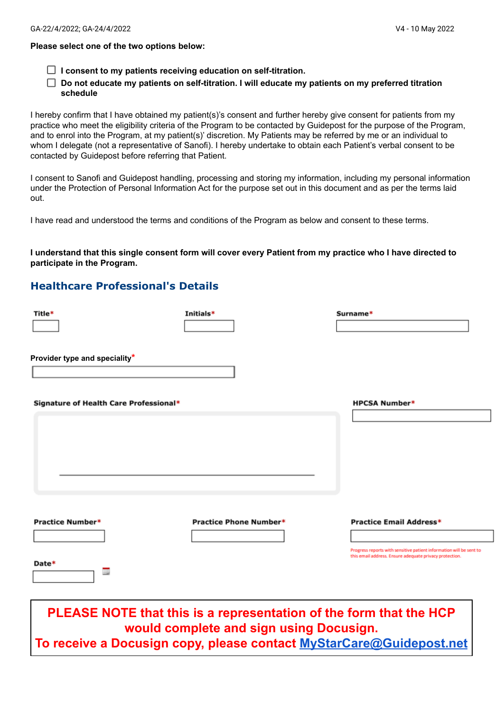#### **Please select one of the two options below:**

- **I consent to my patients receiving education on self-titration.**
- **Do not educate my patients on self-titration. I will educate my patients on my preferred titration schedule**

I hereby confirm that I have obtained my patient(s)'s consent and further hereby give consent for patients from my practice who meet the eligibility criteria of the Program to be contacted by Guidepost for the purpose of the Program, and to enrol into the Program, at my patient(s)' discretion. My Patients may be referred by me or an individual to whom I delegate (not a representative of Sanofi). I hereby undertake to obtain each Patient's verbal consent to be contacted by Guidepost before referring that Patient.

I consent to Sanofi and Guidepost handling, processing and storing my information, including my personal information under the Protection of Personal Information Act for the purpose set out in this document and as per the terms laid out.

I have read and understood the terms and conditions of the Program as below and consent to these terms.

I understand that this single consent form will cover every Patient from my practice who I have directed to **participate in the Program.**

### **Healthcare Professional's Details**

| Title*                                 | Initials*                                                                                                     | Surname*                                                                                                                                                         |
|----------------------------------------|---------------------------------------------------------------------------------------------------------------|------------------------------------------------------------------------------------------------------------------------------------------------------------------|
| Provider type and speciality*          |                                                                                                               |                                                                                                                                                                  |
| Signature of Health Care Professional* |                                                                                                               | <b>HPCSA Number*</b>                                                                                                                                             |
| <b>Practice Number*</b><br>Date*<br>Ξ  | Practice Phone Number*                                                                                        | <b>Practice Email Address*</b><br>Progress reports with sensitive patient information will be sent to<br>this email address. Ensure adequate privacy protection. |
|                                        | PLEASE NOTE that this is a representation of the form that the HCP<br>would complete and sign using Docusign. |                                                                                                                                                                  |

**To receive a Docusign copy, please contact [MyStarCare@Guidepost.net](mailto:MyStarCare@Guidepost.net)**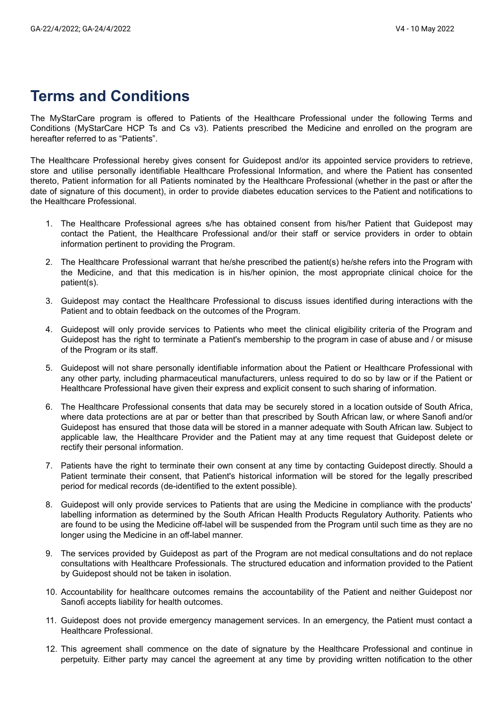## **Terms and Conditions**

The MyStarCare program is offered to Patients of the Healthcare Professional under the following Terms and Conditions (MyStarCare HCP Ts and Cs v3). Patients prescribed the Medicine and enrolled on the program are hereafter referred to as "Patients".

The Healthcare Professional hereby gives consent for Guidepost and/or its appointed service providers to retrieve, store and utilise personally identifiable Healthcare Professional Information, and where the Patient has consented thereto, Patient information for all Patients nominated by the Healthcare Professional (whether in the past or after the date of signature of this document), in order to provide diabetes education services to the Patient and notifications to the Healthcare Professional.

- 1. The Healthcare Professional agrees s/he has obtained consent from his/her Patient that Guidepost may contact the Patient, the Healthcare Professional and/or their staff or service providers in order to obtain information pertinent to providing the Program.
- 2. The Healthcare Professional warrant that he/she prescribed the patient(s) he/she refers into the Program with the Medicine, and that this medication is in his/her opinion, the most appropriate clinical choice for the patient(s).
- 3. Guidepost may contact the Healthcare Professional to discuss issues identified during interactions with the Patient and to obtain feedback on the outcomes of the Program.
- 4. Guidepost will only provide services to Patients who meet the clinical eligibility criteria of the Program and Guidepost has the right to terminate a Patient's membership to the program in case of abuse and / or misuse of the Program or its staff.
- 5. Guidepost will not share personally identifiable information about the Patient or Healthcare Professional with any other party, including pharmaceutical manufacturers, unless required to do so by law or if the Patient or Healthcare Professional have given their express and explicit consent to such sharing of information.
- 6. The Healthcare Professional consents that data may be securely stored in a location outside of South Africa, where data protections are at par or better than that prescribed by South African law, or where Sanofi and/or Guidepost has ensured that those data will be stored in a manner adequate with South African law. Subject to applicable law, the Healthcare Provider and the Patient may at any time request that Guidepost delete or rectify their personal information.
- 7. Patients have the right to terminate their own consent at any time by contacting Guidepost directly. Should a Patient terminate their consent, that Patient's historical information will be stored for the legally prescribed period for medical records (de-identified to the extent possible).
- 8. Guidepost will only provide services to Patients that are using the Medicine in compliance with the products' labelling information as determined by the South African Health Products Regulatory Authority. Patients who are found to be using the Medicine off-label will be suspended from the Program until such time as they are no longer using the Medicine in an off-label manner.
- 9. The services provided by Guidepost as part of the Program are not medical consultations and do not replace consultations with Healthcare Professionals. The structured education and information provided to the Patient by Guidepost should not be taken in isolation.
- 10. Accountability for healthcare outcomes remains the accountability of the Patient and neither Guidepost nor Sanofi accepts liability for health outcomes.
- 11. Guidepost does not provide emergency management services. In an emergency, the Patient must contact a Healthcare Professional.
- 12. This agreement shall commence on the date of signature by the Healthcare Professional and continue in perpetuity. Either party may cancel the agreement at any time by providing written notification to the other